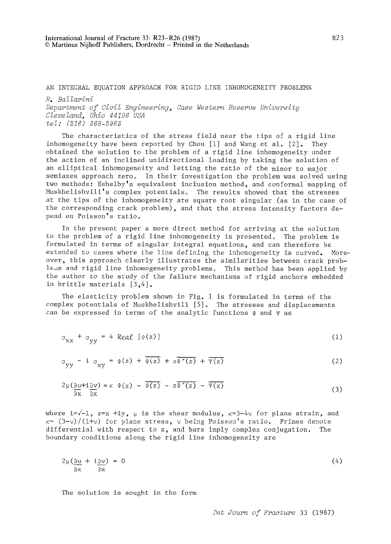## AN INTEGRAL EQUATION APPROACH FOR RIGID LINE INHOMOGENEITY PROBLEMS

*R. Ballarini* 

*Department of Civil Engineering, Case Western Reserve University Cleveland, Ohio 44106 USA tel: (216) 368-2963* 

The characteristics of the stress field near the tips of a rigid line inhomogeneity have been reported by Chou  $[1]$  and Wang et al.  $[2]$ . They obtained the solution to the problem of a rigid line inhomogeneity under the action of an inclined unidirectional loading by taking the solution of an elliptical inhomogeneity and letting the ratio of the minor to major semiaxes approach zero. In their investigation the problem was solved using two methods: Eshelby's equivalent inclusion method, and conformal mapping of Muskhelishvili's complex potentials. The results showed that the stresses at the tips of the inhomogeneity are square root singular (as in the case of the corresponding crack problem), and that the stress intensity factors depend on Poisson's ratio.

In the present paper a more direct method for arriving at the solution to the problem of a rigid line inhomogeneity is presented. The problem is formulated in terms of singular integral equations, and can therefore be extended to cases where the line defining the inhomogeneity is curved. Moreover, this approach clearly illustrates the similarities between crack probleas and rigid line inhomogeneity problems. This method has been applied by the author to the study of the failure mechanisms of rigid anchors embedded in brittle materials [3,4].

The elasticity problem shown in Fig. 1 is formulated in terms of the complex potentials of Muskhelishvili [5]. The stresses and displacements can be expressed in terms of the analytic functions  $\Phi$  and  $\Psi$  as

$$
\sigma_{\mathbf{X}\mathbf{X}} + \sigma_{\mathbf{y}\mathbf{y}} = 4 \text{ Real } [\Phi(\mathbf{z})]
$$
 (1)

$$
\sigma_{yy} - i \sigma_{xy} = \phi(z) + \overline{\phi(z)} + z \overline{\phi'(z)} + \overline{\psi(z)}
$$
 (2)

$$
2\mu\left(\frac{\partial u}{\partial x} + i\frac{\partial v}{\partial x}\right) = \kappa \Phi(z) - \overline{\Phi(z)} - z\overline{\Phi'(z)} - \overline{\Psi(z)}
$$
(3)

where i= $\sqrt{-1}$ , z=x +iy,  $\mu$  is the shear modulus,  $\kappa=3-4\nu$  for plane strain, and  $x = (3-v)/(1+v)$  for plane stress,  $v$  being Poisson's ratio. Primes denote differential with respect to z, and bars imply complex conjugation. The boundary conditions along the rigid line inhomogeneity are

$$
2\mu\left(\frac{\partial u}{\partial x} + i\frac{\partial v}{\partial x}\right) = 0\tag{4}
$$

The solution is sought in the form

*Int Journ of Fracture* 33 (1987)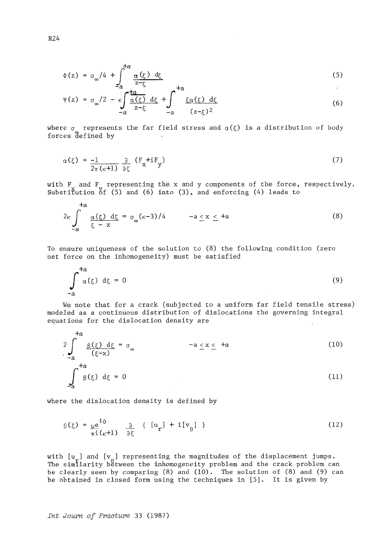$$
\Phi(z) = \sigma_{\infty}/4 + \int_{-a}^{+a} \frac{\alpha(\xi) d\xi}{z - \xi}
$$
\n(5)

$$
\Psi(z) = \sigma_{\infty}/2 - \kappa \int_{-a}^{a} \frac{\tan(z)}{z - \xi} \, d\xi + \int_{-a}^{+a} \frac{\xi \alpha(\xi)}{(z - \xi)^2} \, d\xi \tag{6}
$$

where  $\sigma$  -represents the far field stress and  $\alpha(\xi)$  is a distribution of body forces defined by

$$
\alpha(\xi) = \frac{-1}{2\pi(\kappa+1)} \frac{\partial}{\partial \xi} (F_x + iF_y)
$$
 (7)

with F and F representing the x and y components of the force, respectively. Substi ${\tt t}$ ution  ${\tt of}$  (5) and (6) into (3), and enforcing (4) leads to

$$
2\kappa \int_{-a}^{+a} \frac{\alpha(\xi) d\xi}{\xi - x} = \sigma_{\infty}(\kappa - 3)/4 \qquad -a \le x \le +a
$$
 (8)

To ensure uniqueness of the solution to (8) the following condition (zero net force on the inhomogeneity) must be satisfied

$$
\int_{-a}^{+a} \alpha(\xi) d\xi = 0
$$
 (9)

We note that for a crack (subjected to a uniform far field tensile stress) modeled as a continuous distribution of dislocations the governing integral equations for the dislocation density are

$$
{}^{+a}_{-a} \underbrace{\beta(\xi) d\xi}_{(\xi-x)} = \sigma_{\infty} \qquad \qquad -a \le x \le +a
$$
\n
$$
\int_{a}^{+a} \beta(\xi) d\xi = 0 \qquad (11)
$$

**where** the dislocation density is defined by

$$
\beta(\xi) = \underline{\mu} \underline{e}^{\underline{i}\theta} \qquad \frac{\partial}{\partial \xi} \{ [u_{\mathbf{r}}] + i[v_{\theta}] \}
$$
 (12)

with  $[u_r]$  and  $[v_a]$  representing the magnitudes of the displacement jumps. The similarity between the inhomogeneity problem and the crack problem can be clearly seen by comparing  $(8)$  and  $(10)$ . The solution of  $(8)$  and  $(9)$  can be obtained in closed form using the techniques in [5]. It is given by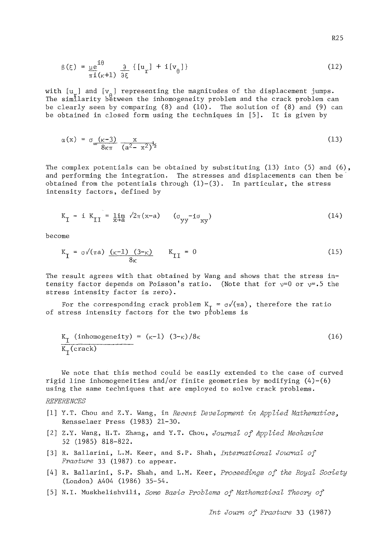$$
\beta(\xi) = \underline{\mu} e^{\underline{i}\theta} \frac{\partial}{\partial \xi} \{ [u_{\mathbf{r}}] + i [v_{\theta}] \}
$$
 (12)

with  $[u_{s}]$  and  $[v_{s}]$  representing the magnitudes of the displacement jumps. The similarity between the inhomogeneity problem and the crack problem can be clearly seen by comparing  $(8)$  and  $(10)$ . The solution of  $(8)$  and  $(9)$  can be obtained in closed form using the techniques in [5]. It is given by

$$
\alpha(x) = \sigma_{\infty} \frac{(\kappa - 3)}{8\kappa \pi} \frac{x}{(a^2 - x^2)^{\frac{1}{2}}} \tag{13}
$$

The complex potentials can be obtained by substituting  $(13)$  into  $(5)$  and  $(6)$ , and performing the integration. The stresses and displacements can then be obtained from the potentials through  $(1)-(3)$ . In particular, the stress intensity factors, defined by

$$
K_{\text{I}} - i K_{\text{II}} = \lim_{x \to a} \sqrt{2\pi (x-a)} \qquad (\sigma_{yy} - i\sigma_{xy}) \tag{14}
$$

become

$$
K_{\text{I}} = \sigma \sqrt{\pi a} \frac{(\kappa - 1) (3 - \kappa)}{8\kappa} \qquad K_{\text{II}} = 0 \tag{15}
$$

The result agrees with that obtained by Wang and shows that the stress intensity factor depends on Poisson's ratio. (Note that for  $v=0$  or  $v=0$ .5 the stress intensity factor is zero).

For the corresponding crack problem  $K_T = \sigma/(\pi a)$ , therefore the ratio of stress intensity factors for the two problems is

$$
\frac{K_{\text{I}} \text{ (inhomogeneity)}}{K_{\text{I}} \text{ (crack)}} = (\kappa - 1) (3 - \kappa) / 8 \kappa \tag{16}
$$

We note that this method could be easily extended to the case of curved rigid line inhomogeneities and/or finite geometries by modifying  $(4)-(6)$ using the same techniques that are employed to solve crack problems.

## *RZFERENCES*

- [i] Y.T. Chou and Z.Y. Wang, in *Recent Development in Applied Mathematics,*  Rensselaer Press (1983) 21-30.
- [2] Z.Y. Wang, H.T. Zhang, and Y.T. Chou, *Journal of Applied Mechanics*  52 (1985) 818-822.
- [3] R. Ballarini, L.M. Keer, and S.P. Shah, *International Journal of Fracture* 33 (1987) to appear.
- [4] R. Ballarini, S.P. Shah, and L.M. Keer, *Proceedings of the Royal Society*  (London) A404 (1986) 35-54.
- [5] N.I. Muskhelishvili, *Some Basic Problems of Mathematical Theory of*

*Int Journ of Fracture* 33 (1987)